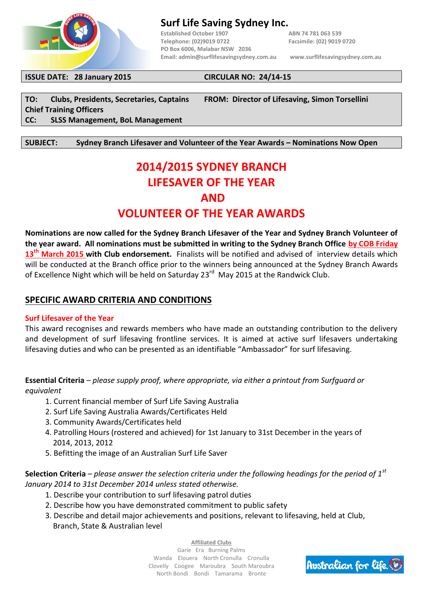

## **Surf Life Saving Sydney Inc.**

**Established October 1907 ABN 74 781 063 539 Telephone: (02)9019 0722 Facsimile: (02) 9019 0720 PO Box 6006, Malabar NSW 2036 Email[: admin@surflifesavingsydney.com.au](mailto:admin@surflifesavingsydney.com.au) [www.surflifesavingsydney.com.au](http://www.surflifesavingsydney.com.au/)**

**ISSUE DATE: 28 January 2015 CIRCULAR NO: 24/14-15**

**Chief Training Officers CC: SLSS Management, BoL Management**

**TO: Clubs, Presidents, Secretaries, Captains FROM: Director of Lifesaving, Simon Torsellini**

**SUBJECT: Sydney Branch Lifesaver and Volunteer of the Year Awards – Nominations Now Open**

# **2014/2015 SYDNEY BRANCH LIFESAVER OF THE YEAR AND**

## **VOLUNTEER OF THE YEAR AWARDS**

**Nominations are now called for the Sydney Branch Lifesaver of the Year and Sydney Branch Volunteer of the year award. All nominations must be submitted in writing to the Sydney Branch Office by COB Friday 13 th March 2015 with Club endorsement.** Finalists will be notified and advised of interview details which will be conducted at the Branch office prior to the winners being announced at the Sydney Branch Awards of Excellence Night which will be held on Saturday 23<sup>rd</sup> May 2015 at the Randwick Club.

### **SPECIFIC AWARD CRITERIA AND CONDITIONS**

#### **Surf Lifesaver of the Year**

This award recognises and rewards members who have made an outstanding contribution to the delivery and development of surf lifesaving frontline services. It is aimed at active surf lifesavers undertaking lifesaving duties and who can be presented as an identifiable "Ambassador" for surf lifesaving.

**Essential Criteria** *– please supply proof, where appropriate, via either a printout from Surfguard or equivalent*

- 1. Current financial member of Surf Life Saving Australia
- 2. Surf Life Saving Australia Awards/Certificates Held
- 3. Community Awards/Certificates held
- 4. Patrolling Hours (rostered and achieved) for 1st January to 31st December in the years of 2014, 2013, 2012
- 5. Befitting the image of an Australian Surf Life Saver

**Selection Criteria** *– please answer the selection criteria under the following headings for the period of 1st January 2014 to 31st December 2014 unless stated otherwise.*

- 1. Describe your contribution to surf lifesaving patrol duties
- 2. Describe how you have demonstrated commitment to public safety
- 3. Describe and detail major achievements and positions, relevant to lifesaving, held at Club, Branch, State & Australian level

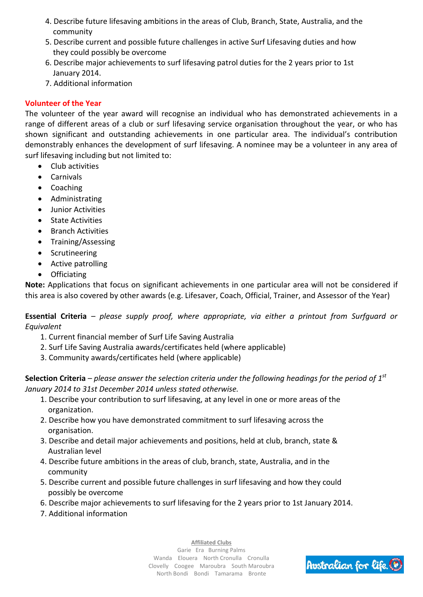- 4. Describe future lifesaving ambitions in the areas of Club, Branch, State, Australia, and the community
- 5. Describe current and possible future challenges in active Surf Lifesaving duties and how they could possibly be overcome
- 6. Describe major achievements to surf lifesaving patrol duties for the 2 years prior to 1st January 2014.
- 7. Additional information

## **Volunteer of the Year**

The volunteer of the year award will recognise an individual who has demonstrated achievements in a range of different areas of a club or surf lifesaving service organisation throughout the year, or who has shown significant and outstanding achievements in one particular area. The individual's contribution demonstrably enhances the development of surf lifesaving. A nominee may be a volunteer in any area of surf lifesaving including but not limited to:

- Club activities
- Carnivals
- Coaching
- Administrating
- Junior Activities
- State Activities
- Branch Activities
- Training/Assessing
- Scrutineering
- Active patrolling
- Officiating

**Note:** Applications that focus on significant achievements in one particular area will not be considered if this area is also covered by other awards (e.g. Lifesaver, Coach, Official, Trainer, and Assessor of the Year)

**Essential Criteria** *– please supply proof, where appropriate, via either a printout from Surfguard or Equivalent*

- 1. Current financial member of Surf Life Saving Australia
- 2. Surf Life Saving Australia awards/certificates held (where applicable)
- 3. Community awards/certificates held (where applicable)

**Selection Criteria** *– please answer the selection criteria under the following headings for the period of 1st January 2014 to 31st December 2014 unless stated otherwise.*

- 1. Describe your contribution to surf lifesaving, at any level in one or more areas of the organization.
- 2. Describe how you have demonstrated commitment to surf lifesaving across the organisation.
- 3. Describe and detail major achievements and positions, held at club, branch, state & Australian level
- 4. Describe future ambitions in the areas of club, branch, state, Australia, and in the community
- 5. Describe current and possible future challenges in surf lifesaving and how they could possibly be overcome
- 6. Describe major achievements to surf lifesaving for the 2 years prior to 1st January 2014.
- 7. Additional information

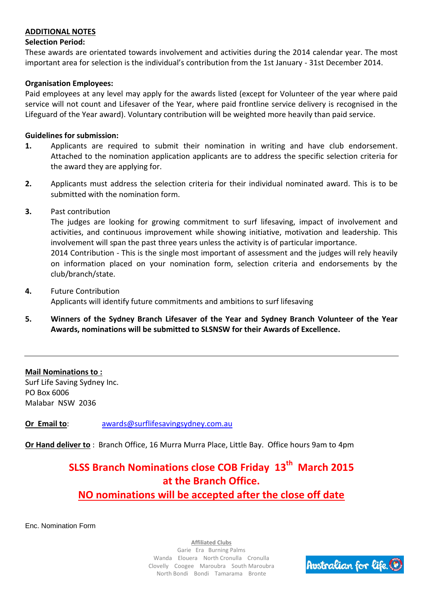#### **ADDITIONAL NOTES**

#### **Selection Period:**

These awards are orientated towards involvement and activities during the 2014 calendar year. The most important area for selection is the individual's contribution from the 1st January - 31st December 2014.

#### **Organisation Employees:**

Paid employees at any level may apply for the awards listed (except for Volunteer of the year where paid service will not count and Lifesaver of the Year, where paid frontline service delivery is recognised in the Lifeguard of the Year award). Voluntary contribution will be weighted more heavily than paid service.

#### **Guidelines for submission:**

- **1.** Applicants are required to submit their nomination in writing and have club endorsement. Attached to the nomination application applicants are to address the specific selection criteria for the award they are applying for.
- **2.** Applicants must address the selection criteria for their individual nominated award. This is to be submitted with the nomination form.
- **3.** Past contribution

The judges are looking for growing commitment to surf lifesaving, impact of involvement and activities, and continuous improvement while showing initiative, motivation and leadership. This involvement will span the past three years unless the activity is of particular importance. 2014 Contribution - This is the single most important of assessment and the judges will rely heavily on information placed on your nomination form, selection criteria and endorsements by the club/branch/state.

- **4.** Future Contribution Applicants will identify future commitments and ambitions to surf lifesaving
- **5. Winners of the Sydney Branch Lifesaver of the Year and Sydney Branch Volunteer of the Year Awards, nominations will be submitted to SLSNSW for their Awards of Excellence.**

**Mail Nominations to :** Surf Life Saving Sydney Inc. PO Box 6006 Malabar NSW 2036

**Or Email to:** [awards@surflifesavingsydney.com.au](mailto:awards@surflifesavingsydney.com.au)

**Or Hand deliver to** : Branch Office, 16 Murra Murra Place, Little Bay. Office hours 9am to 4pm

## **SLSS Branch Nominations close COB Friday 13 th March 2015 at the Branch Office.**

## **NO nominations will be accepted after the close off date**

Enc. Nomination Form